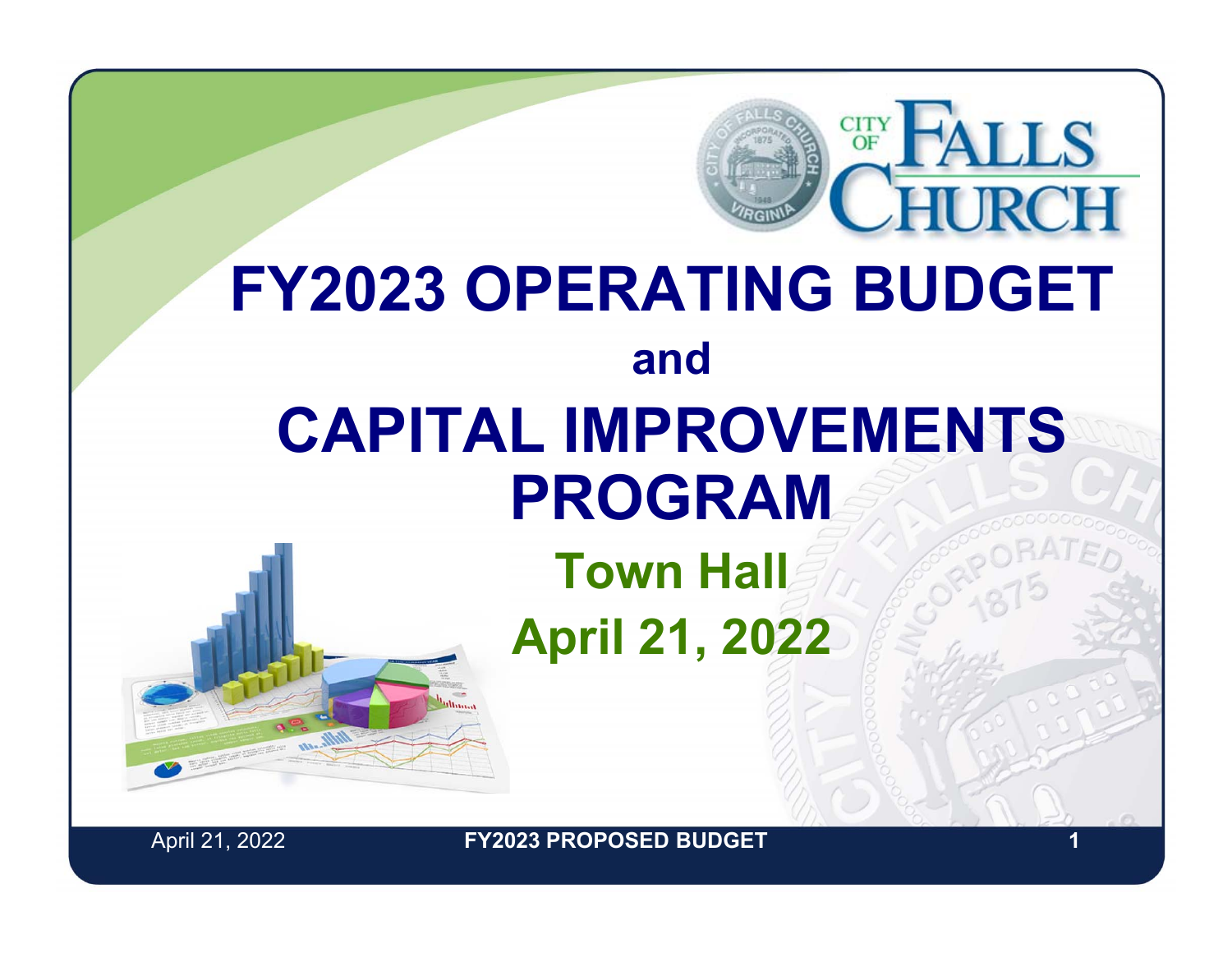### **FY2023 OPERATING BUDGET andCAPITAL IMPROVEMENTS PROGRAM**

**Town Hall April 21, 2022**



April 21, 2022 **1 FY2023 PROPOSED BUDGET**

**LLS**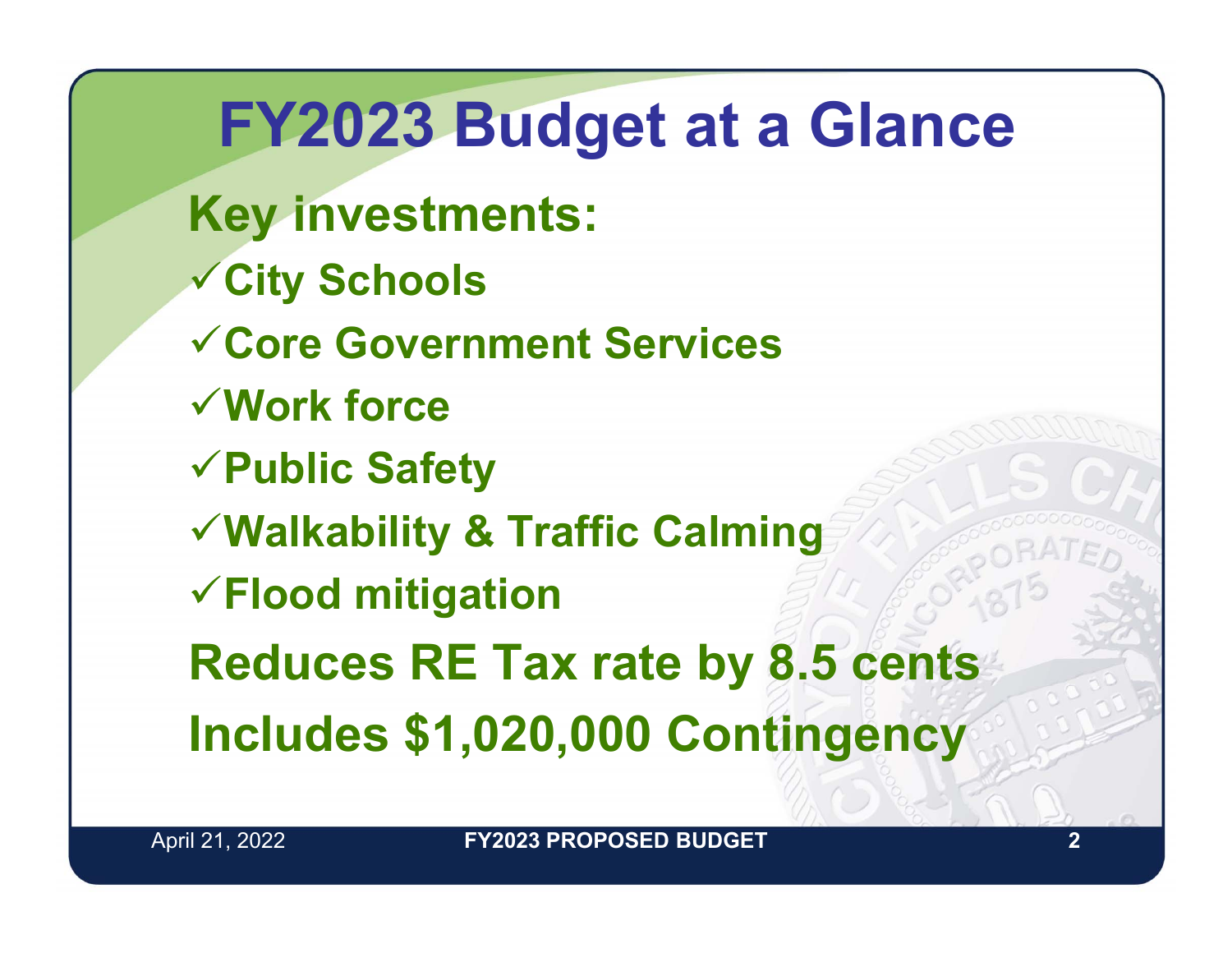**FY2023 Budget at a Glance Key investments: City Schools Core Government ServicesWork forcePublic Safety Walkability & Traffic Calming Flood mitigation Reduces RE Tax rate by 8.5 cents Includes \$1,020,000 Contingency**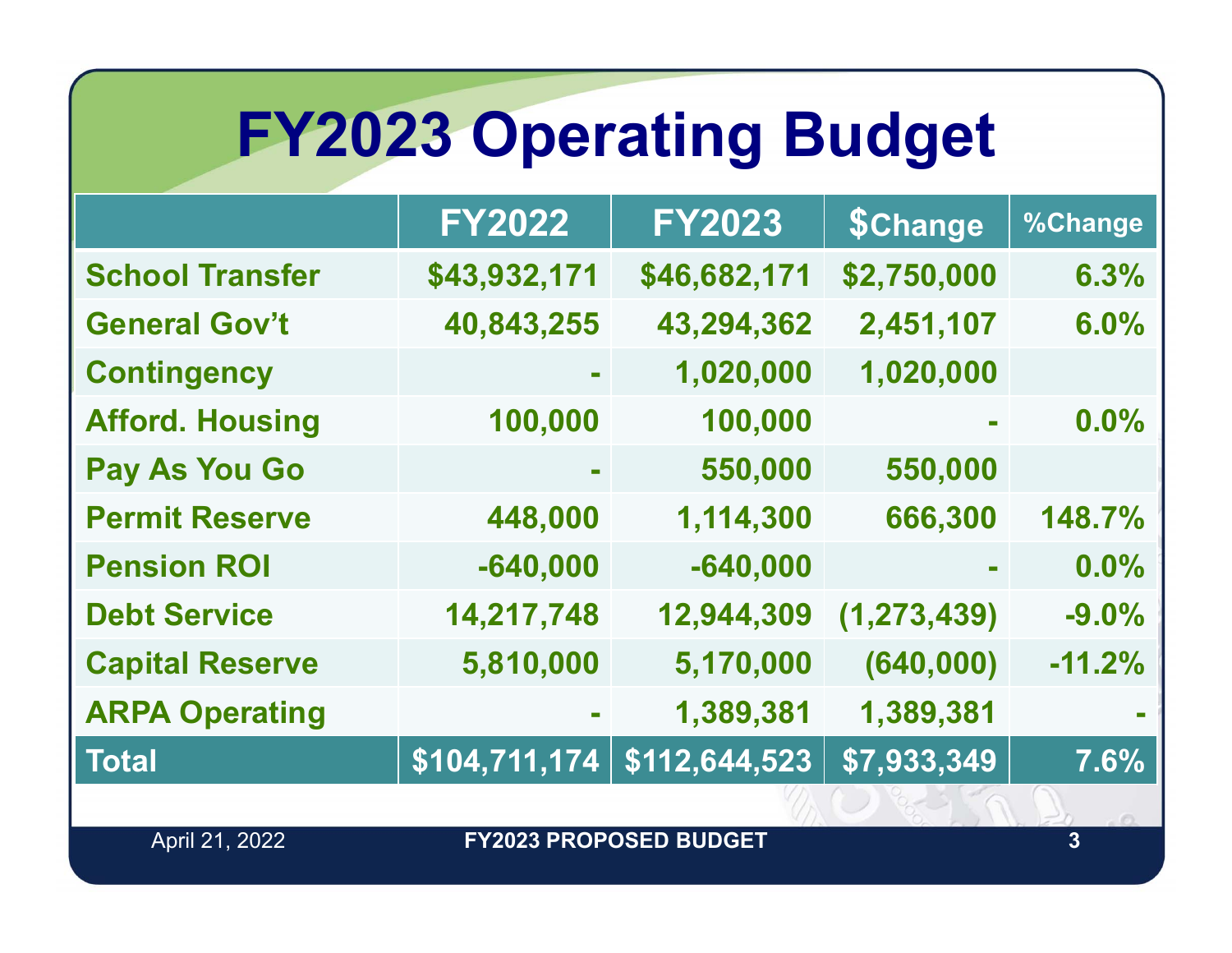## **FY2023 Operating Budget**

|                        | <b>FY2022</b> | <b>FY2023</b> | <b>\$Change</b> | %Change  |
|------------------------|---------------|---------------|-----------------|----------|
| <b>School Transfer</b> | \$43,932,171  | \$46,682,171  | \$2,750,000     | 6.3%     |
| <b>General Gov't</b>   | 40,843,255    | 43,294,362    | 2,451,107       | 6.0%     |
| <b>Contingency</b>     |               | 1,020,000     | 1,020,000       |          |
| <b>Afford. Housing</b> | 100,000       | 100,000       |                 | 0.0%     |
| <b>Pay As You Go</b>   |               | 550,000       | 550,000         |          |
| <b>Permit Reserve</b>  | 448,000       | 1,114,300     | 666,300         | 148.7%   |
| <b>Pension ROI</b>     | $-640,000$    | $-640,000$    | $\mathbf{m}$    | $0.0\%$  |
| <b>Debt Service</b>    | 14,217,748    | 12,944,309    | (1, 273, 439)   | $-9.0%$  |
| <b>Capital Reserve</b> | 5,810,000     | 5,170,000     | (640,000)       | $-11.2%$ |
| <b>ARPA Operating</b>  |               | 1,389,381     | 1,389,381       |          |
| <b>Total</b>           | \$104,711,174 | \$112,644,523 | \$7,933,349     | 7.6%     |
|                        |               |               |                 |          |

April 21, 2022

**FY2023 PROPOSED BUDGET**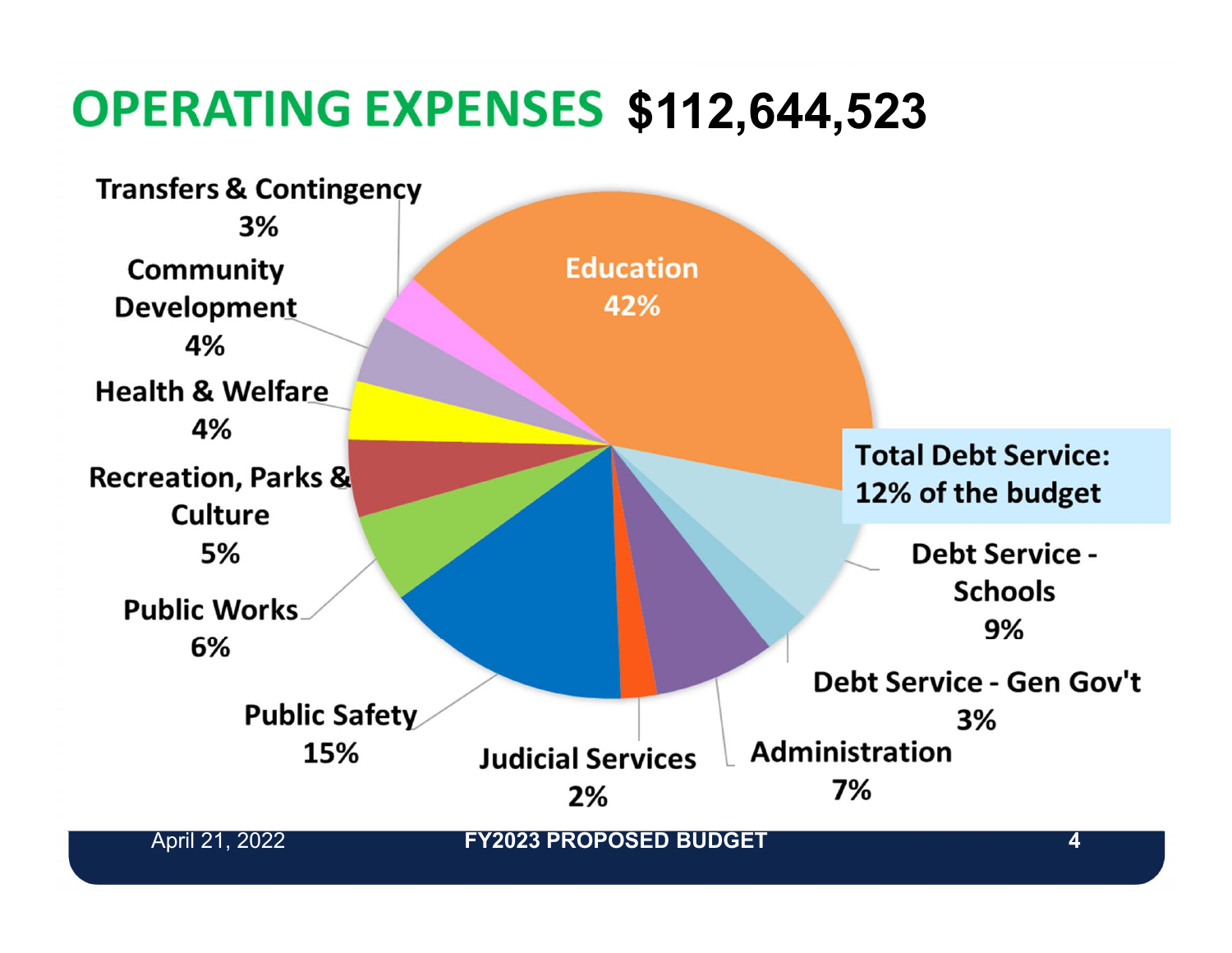#### **\$112,644,523**

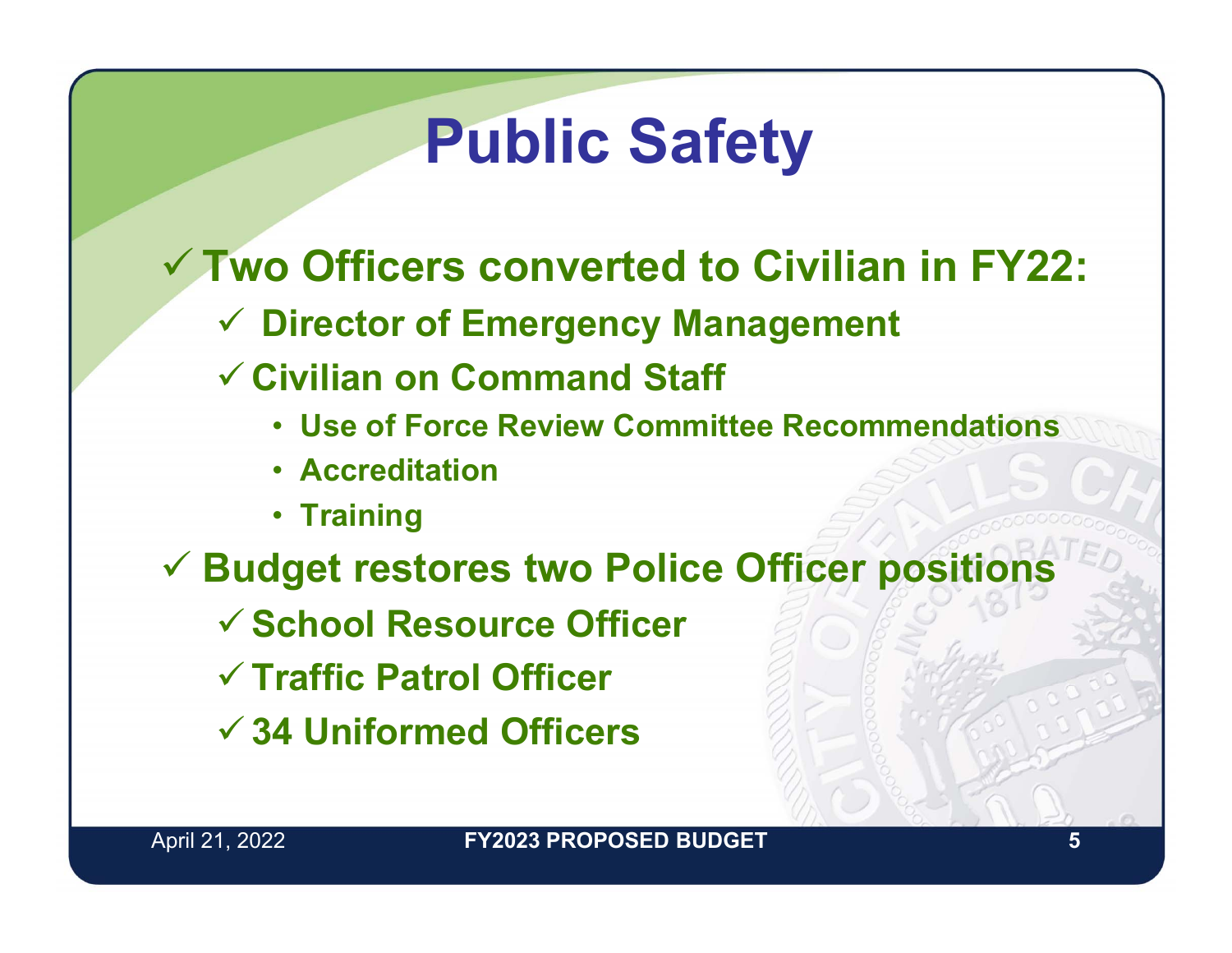### **Public Safety**

- **Two Officers converted to Civilian in FY22:**
	- **Director of Emergency Management**
	- **Civilian on Command Staff**
		- **Use of Force Review Committee Recommendations**
		- **Accreditation**
		- **Training**
- **Budget restores two Police Officer positions**
	- **School Resource Officer**
	- **Traffic Patrol Officer**
	- **34 Uniformed Officers**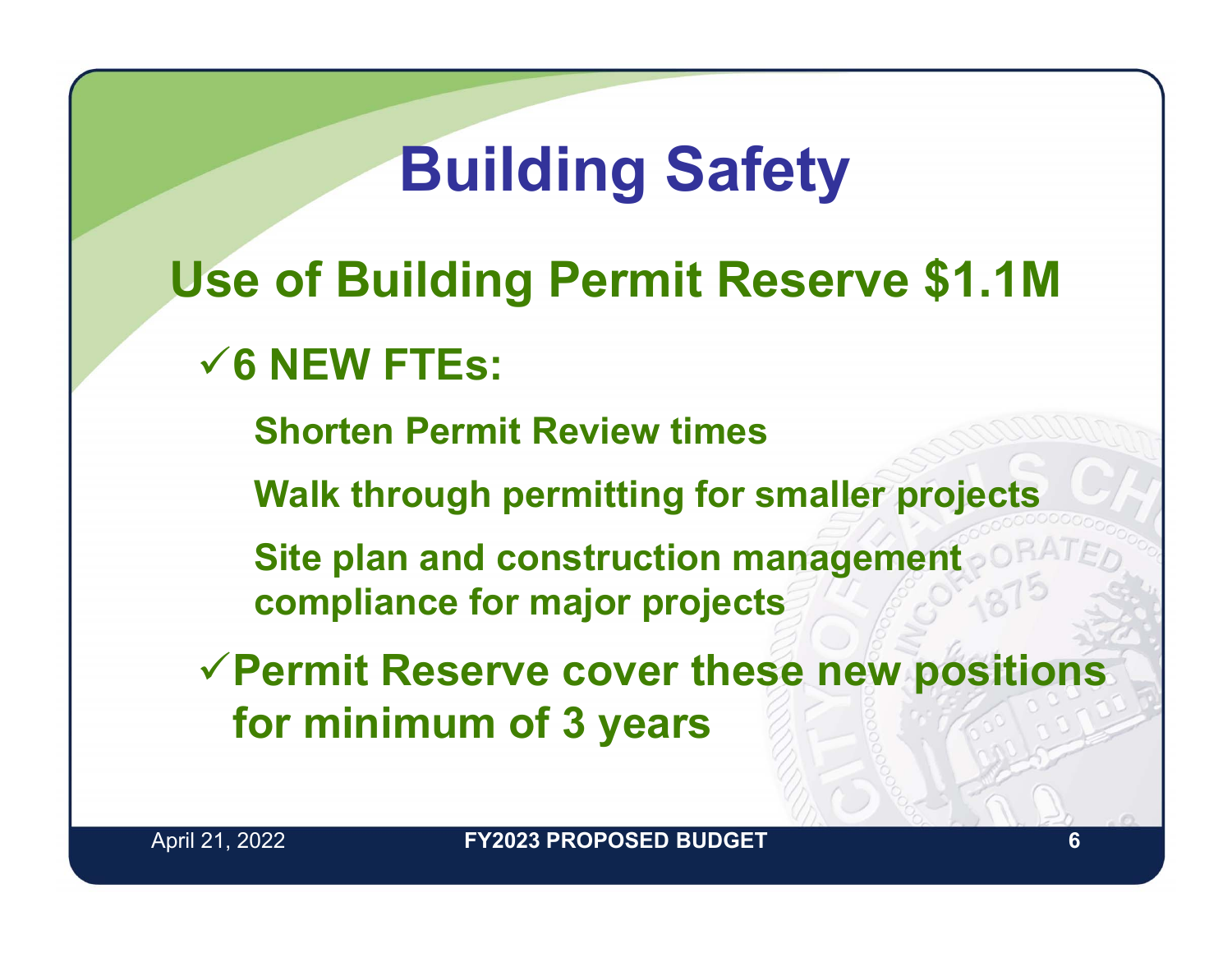### **Building Safety**

**Use of Building Permit Reserve \$1.1M 6 NEW FTEs:**

**Shorten Permit Review times**

**Walk through permitting for smaller projects**

**Site plan and construction management compliance for major projects**

**Permit Reserve cover these new positions for minimum of 3 years**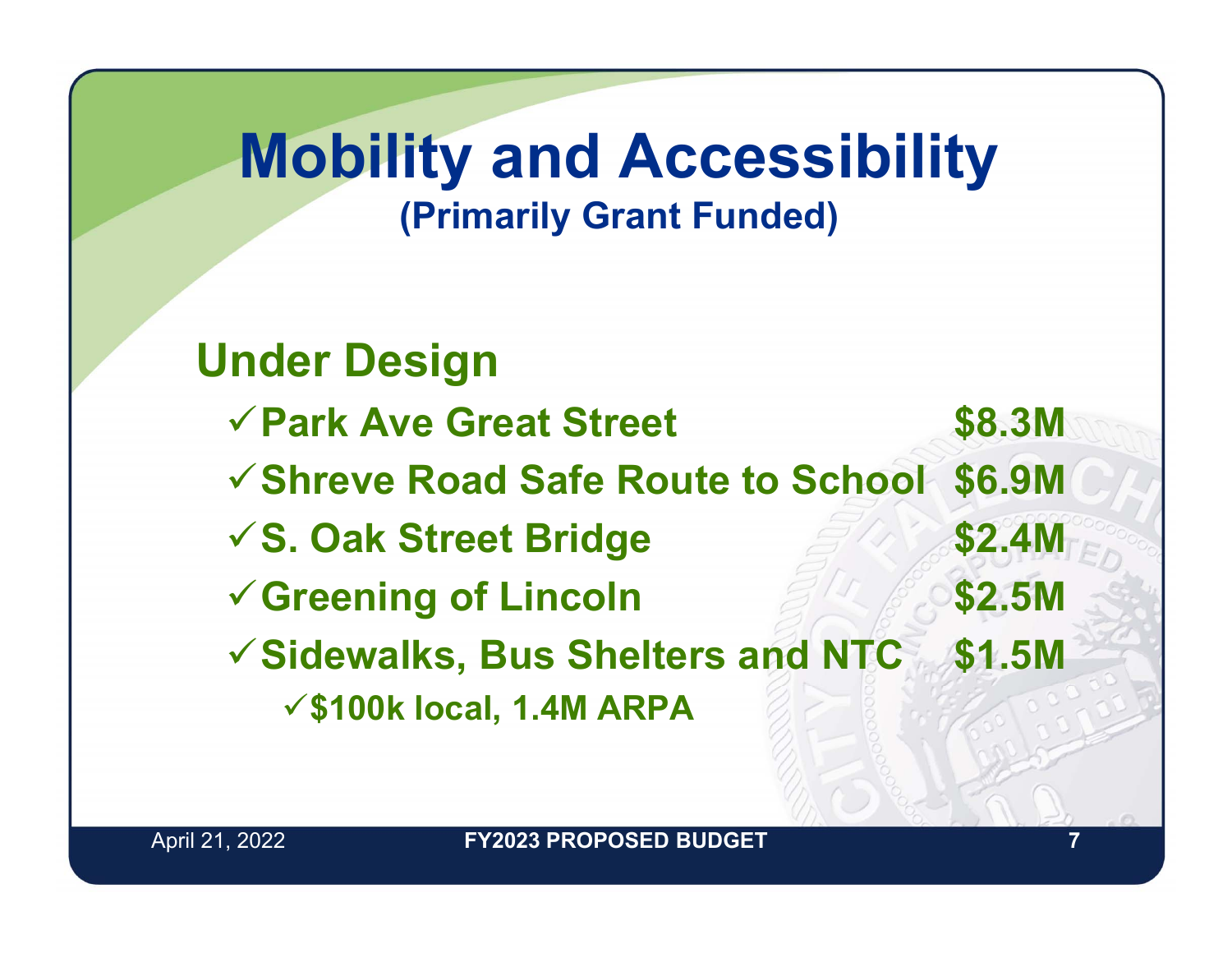#### **Mobility and Accessibility (Primarily Grant Funded)**

**Under Design Park Ave Great Street \$8.3M Shreve Road Safe Route to School \$6.9M S. Oak Street Bridge \$2.4M Greening of Lincoln \$2.5M Sidewalks, Bus Shelters and NTC \$1.5M \$100k local, 1.4M ARPA**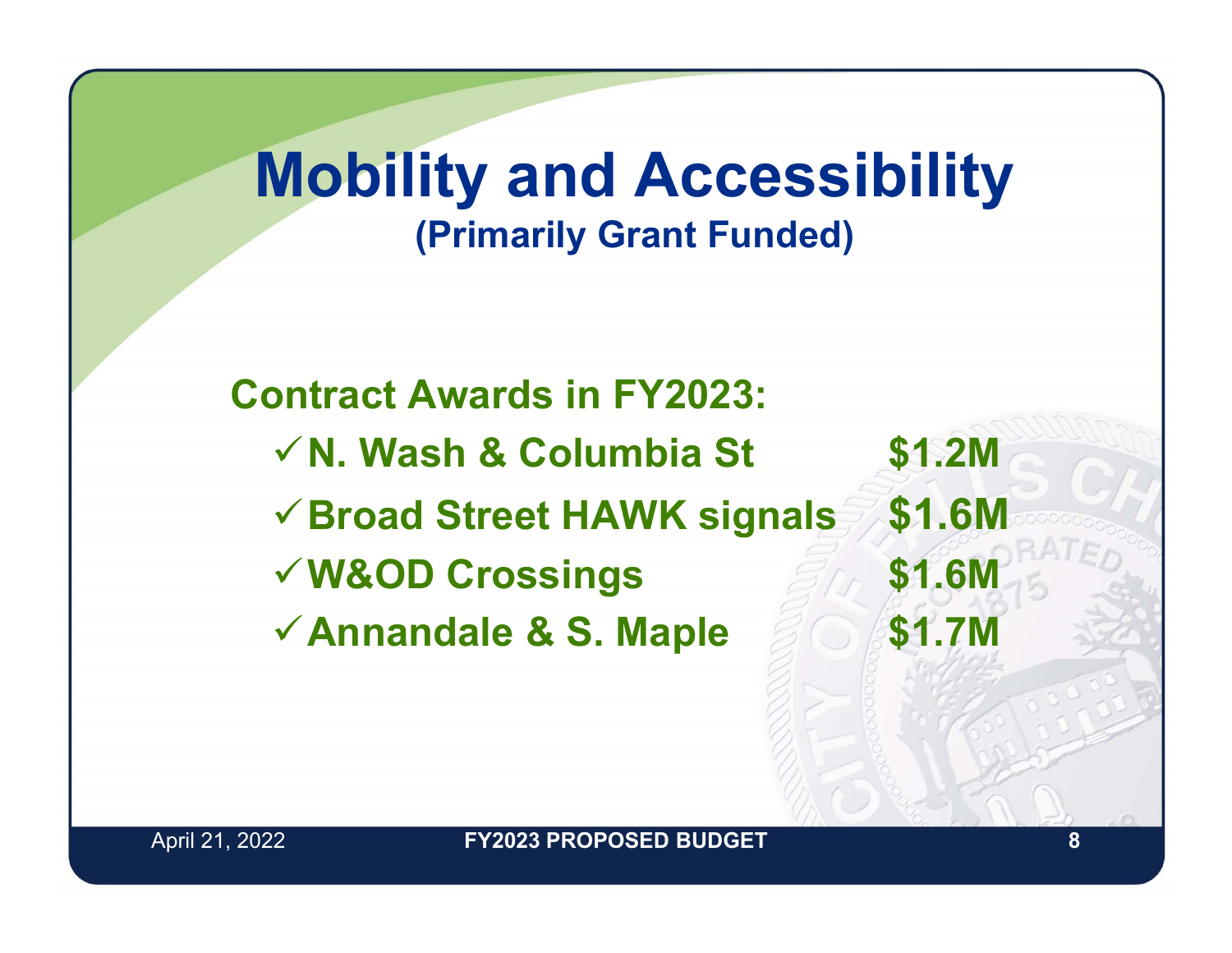#### **Mobility and Accessibility (Primarily Grant Funded)**

**Contract Awards in FY2023:N. Wash & Columbia St \$1.2M Broad Street HAWK signals \$1.6M W&OD Crossings \$1.6M Annandale & S. Maple \$1.7M**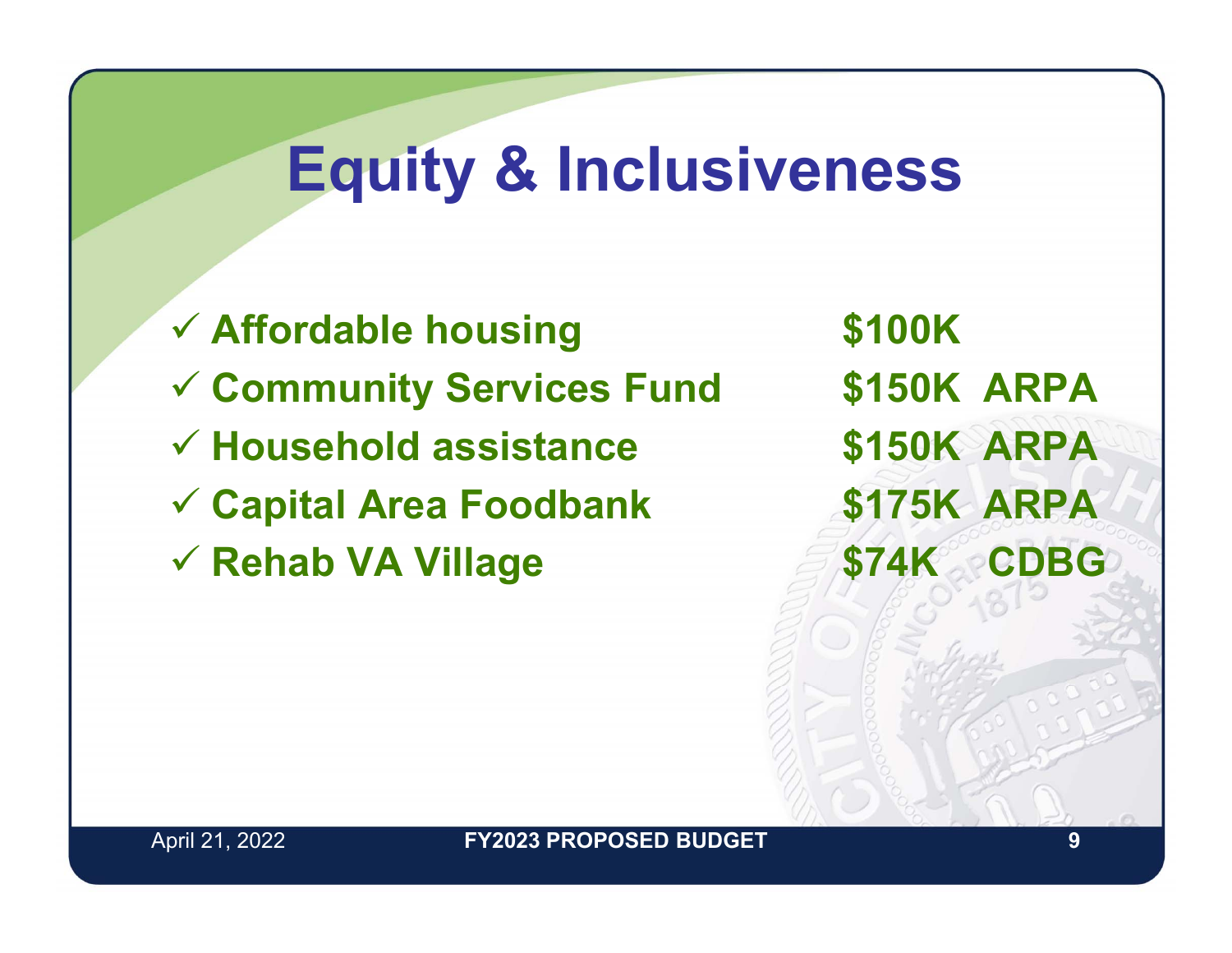### **Equity & Inclusiveness**

 **Affordable housing \$100K Community Services Fund \$150K ARPA Household assistance \$150K ARPA Capital Area Foodbank \$175K ARPA Rehab VA Village \$74K CDBG**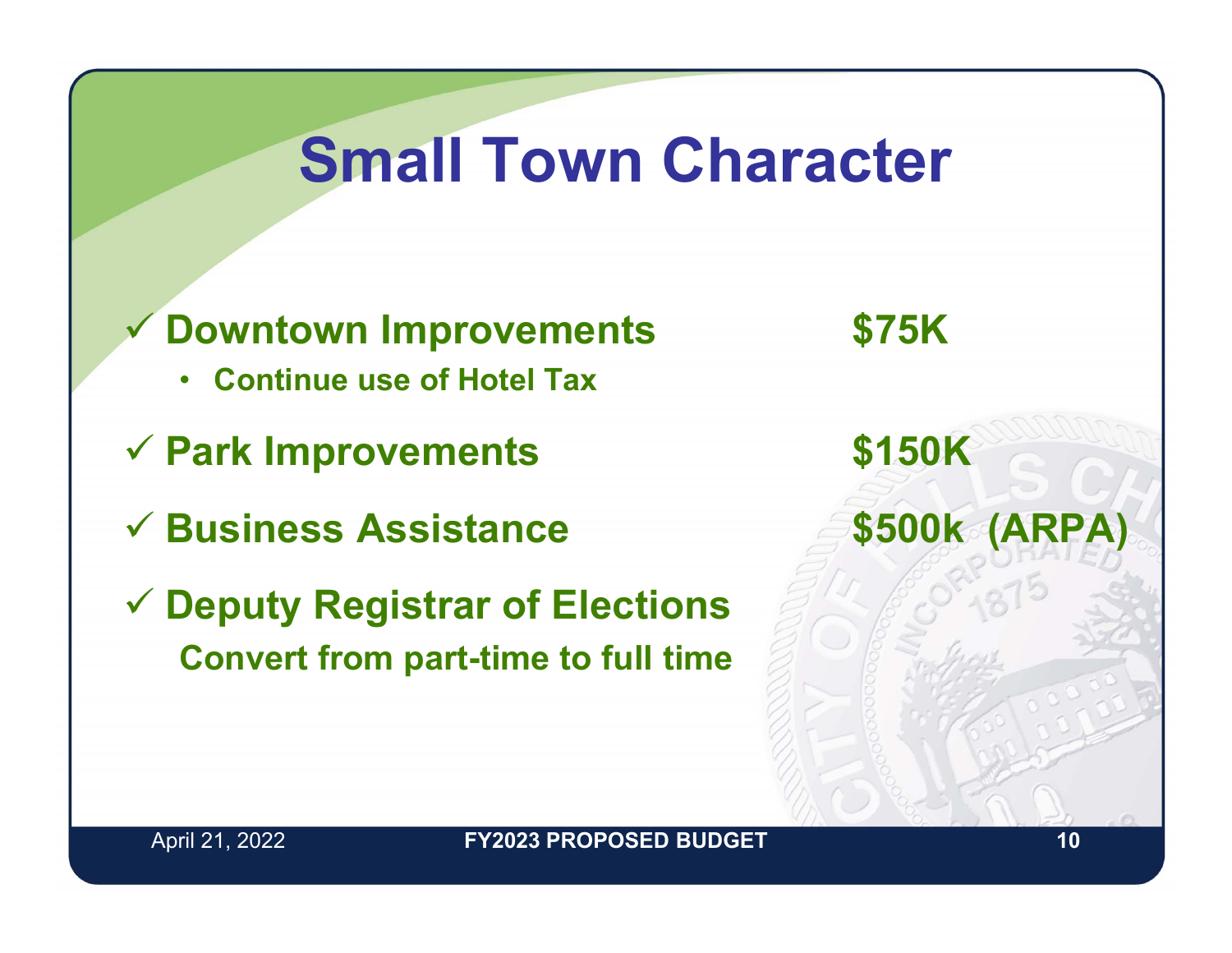### **Small Town Character**

- $\checkmark$  **Downtown Improvements \$75K**
	- **Continue use of Hotel Tax**
- **Park Improvements \$150K**
- **Business Assistance \$500k (ARPA)**
- **Deputy Registrar of Elections Convert from part-time to full time**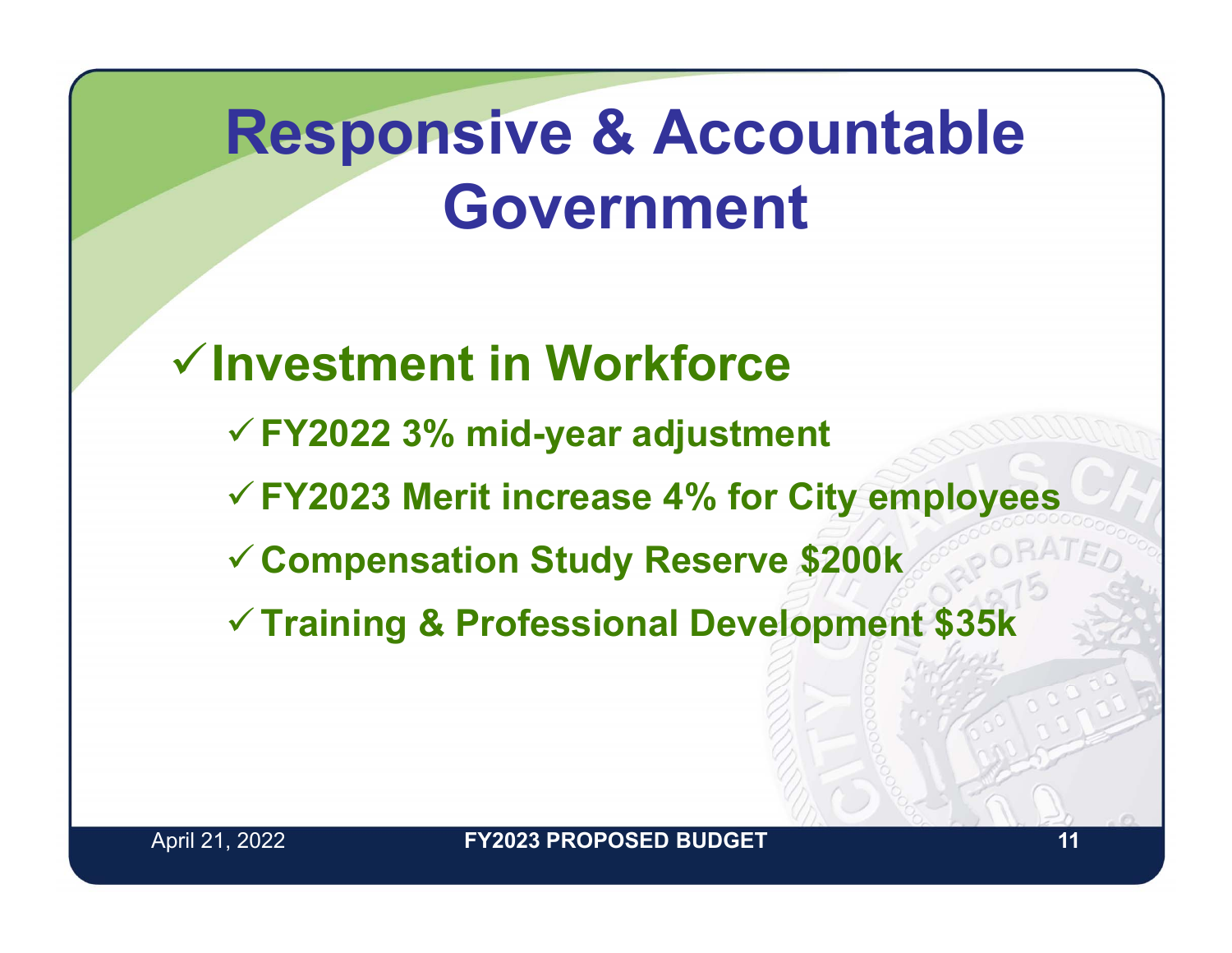### **Responsive & Accountable Government**

**Investment in WorkforceFY2022 3% mid-year adjustment FY2023 Merit increase 4% for City employees Compensation Study Reserve \$200k Training & Professional Development \$35k**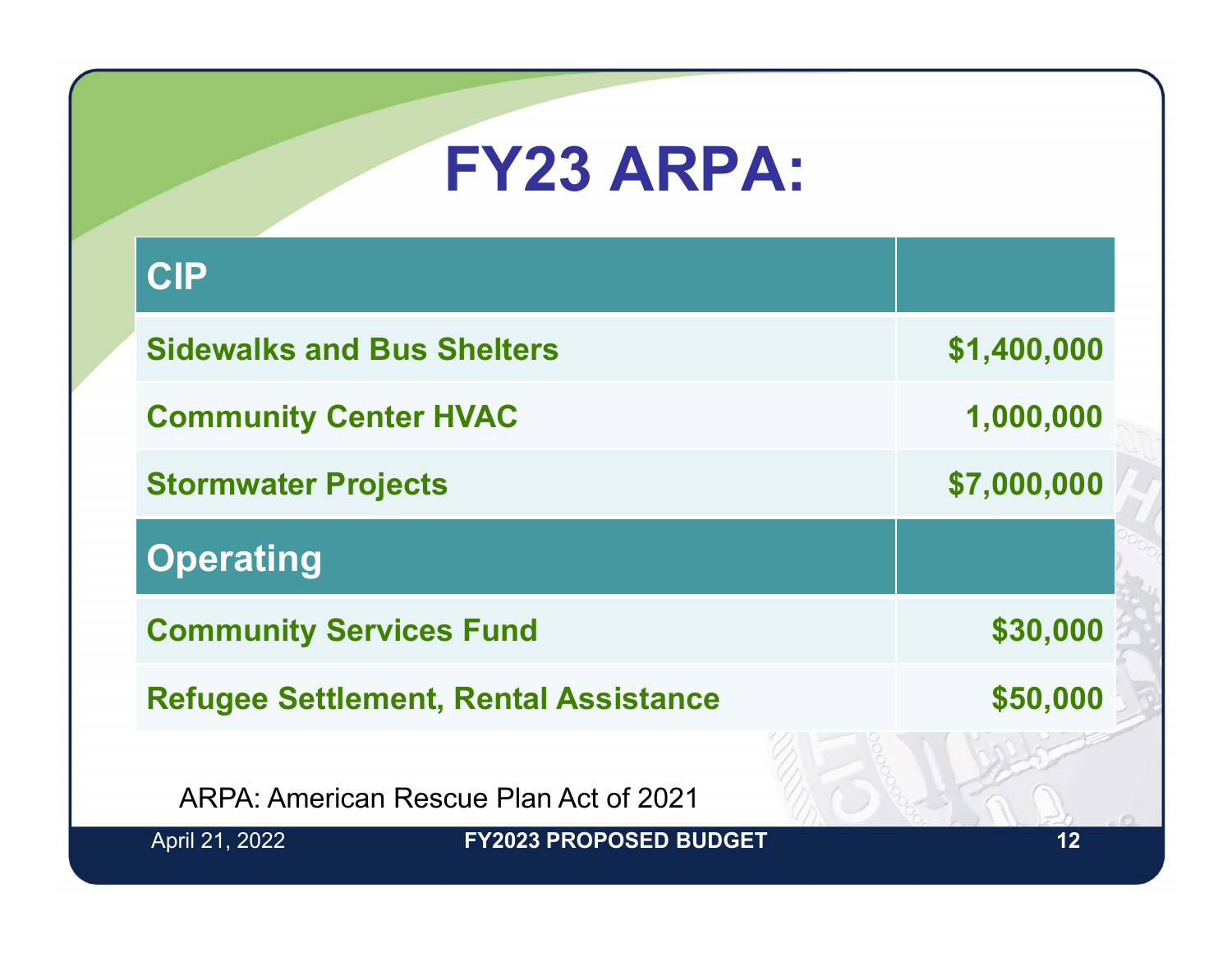### **FY23 ARPA:**

| <b>CIP</b>                                   |                               |             |
|----------------------------------------------|-------------------------------|-------------|
| <b>Sidewalks and Bus Shelters</b>            |                               | \$1,400,000 |
| <b>Community Center HVAC</b>                 |                               | 1,000,000   |
| <b>Stormwater Projects</b>                   |                               | \$7,000,000 |
| <b>Operating</b>                             |                               |             |
| <b>Community Services Fund</b>               |                               | \$30,000    |
| <b>Refugee Settlement, Rental Assistance</b> |                               | \$50,000    |
| ARPA: American Rescue Plan Act of 2021       |                               |             |
| April 21, 2022                               | <b>FY2023 PROPOSED BUDGET</b> | 12          |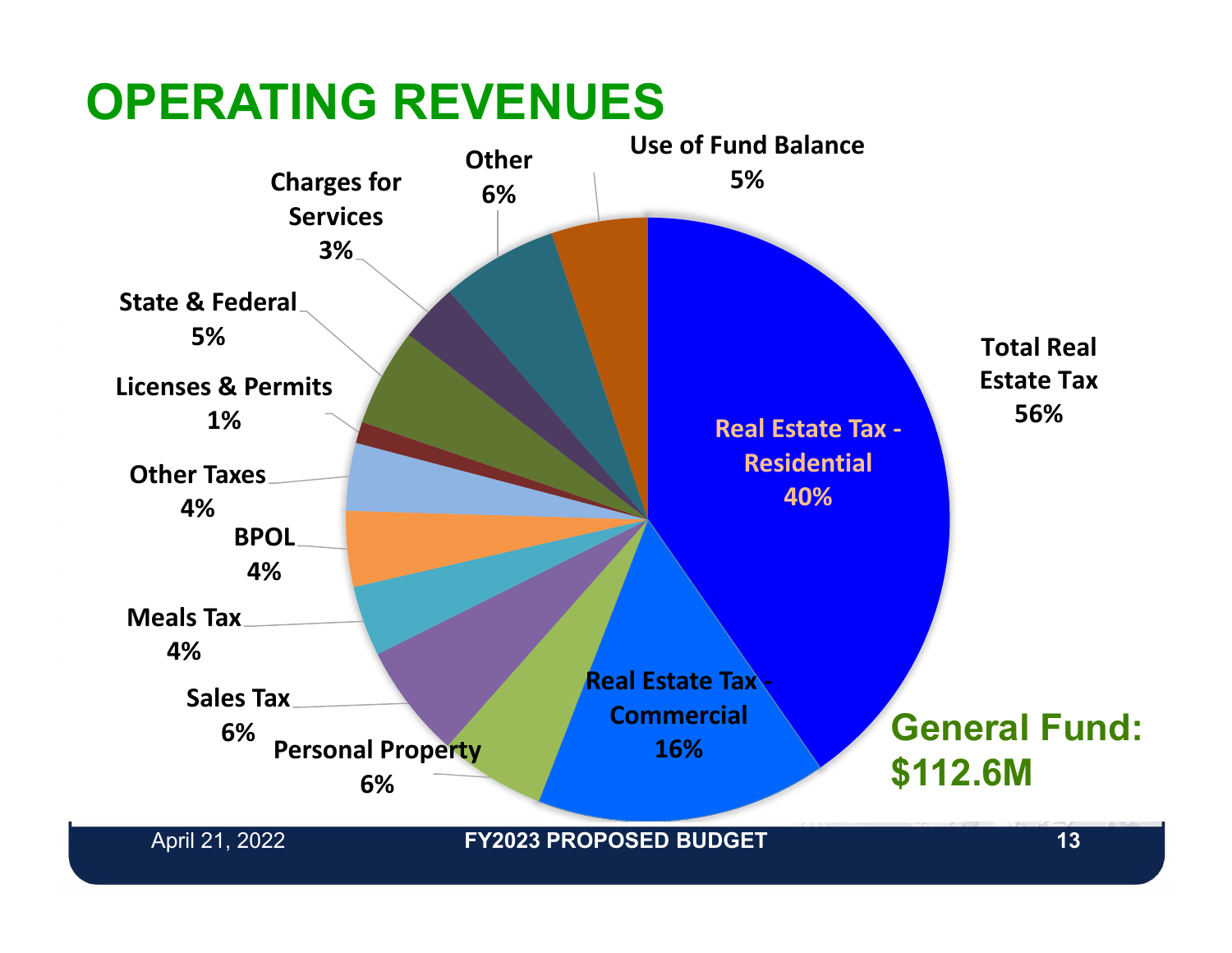#### **OPERATING REVENUES**

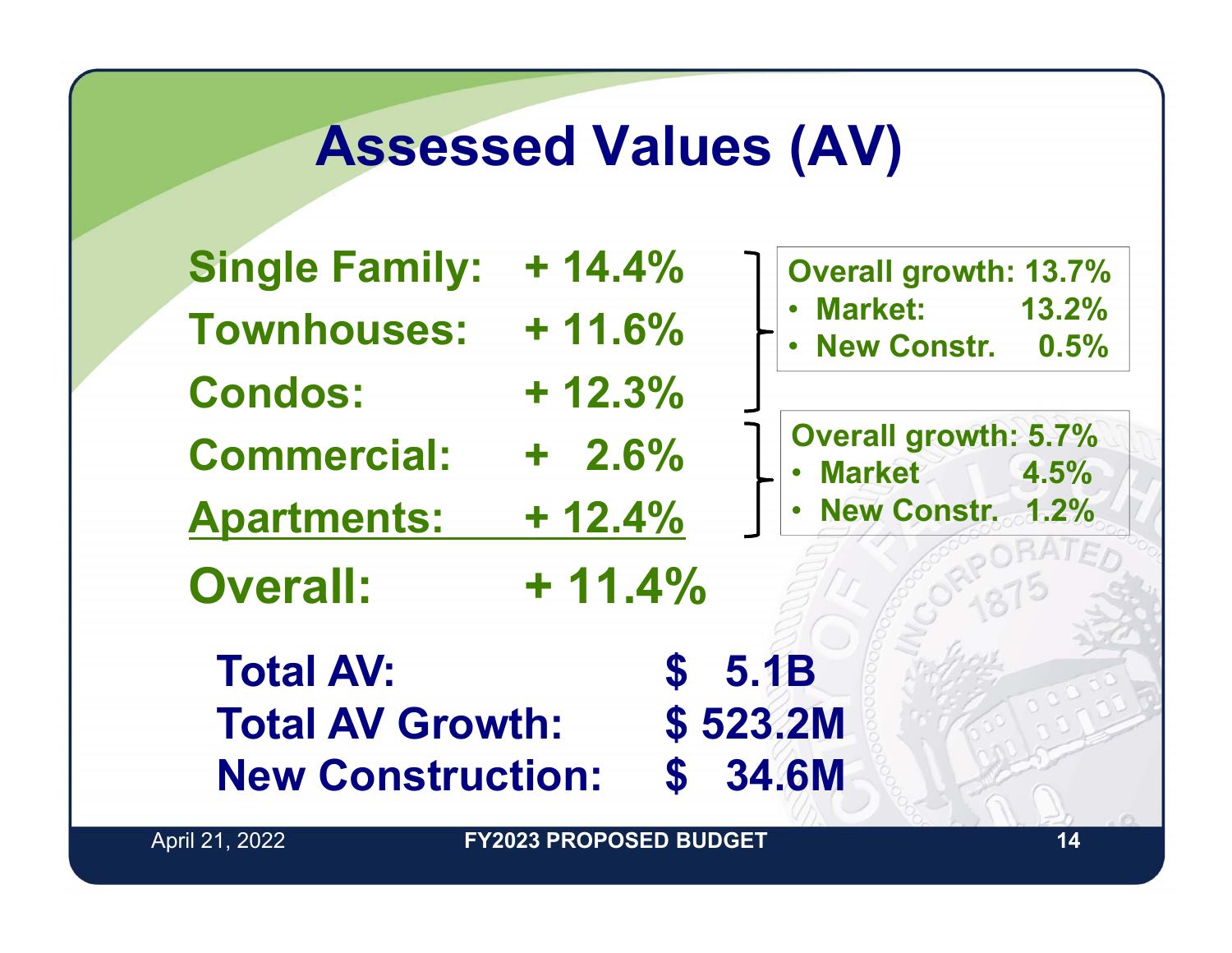#### **Assessed Values (AV)**

| <b>Single Family:</b>    | $+ 14.4%$   | <b>Overall growth: 13.7%</b>                                   |
|--------------------------|-------------|----------------------------------------------------------------|
| <b>Townhouses:</b>       | $+11.6%$    | <b>Market:</b> 13.2%<br>New Constr. 0.5%                       |
| <b>Condos:</b>           | $+12.3%$    |                                                                |
| <b>Commercial:</b>       | $+2.6%$     | <b>Overall growth: 5.7%</b><br><b>Market</b> 4.5%<br>$\bullet$ |
| <b>Apartments:</b>       | $+ 12.4%$   | <b>New Constr. 1.2%</b>                                        |
| <b>Overall:</b>          | $+ 11.4%$   |                                                                |
| <b>Total AV:</b>         | $\mathbf S$ | <b>5.1B</b>                                                    |
| <b>Total AV Growth:</b>  |             | \$523.2M                                                       |
| <b>New Construction:</b> | $\mathbf S$ | 34.6M                                                          |

April 21, 2022 **14 FY2023 PROPOSED BUDGET**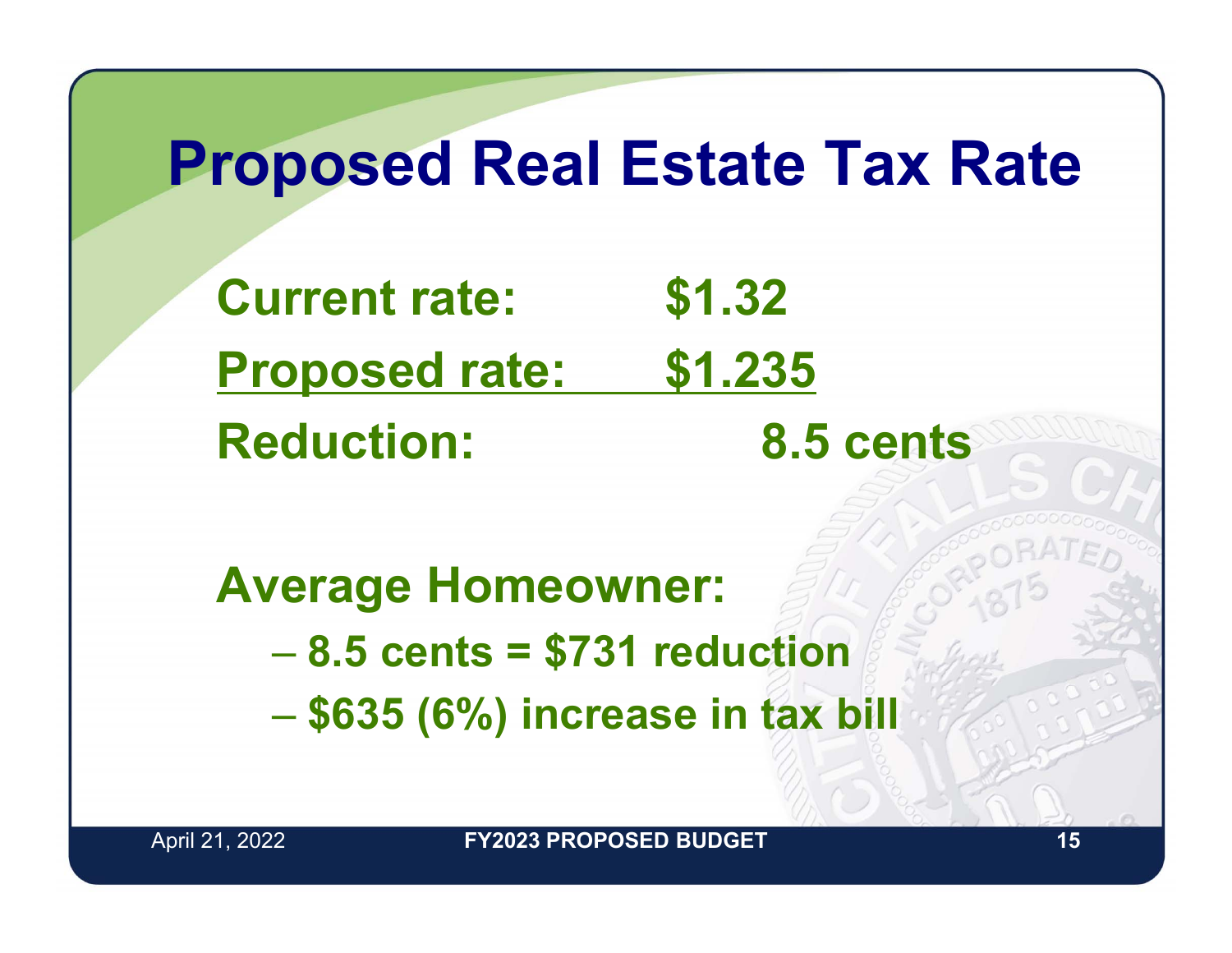#### **Proposed Real Estate Tax Rate**

**Current rate: \$1.32 Proposed rate: \$1.235 Reduction: 8.5 cents**

**Average Homeowner:** – **8.5 cents = \$731 reduction \$635 (6%) increase in tax bill**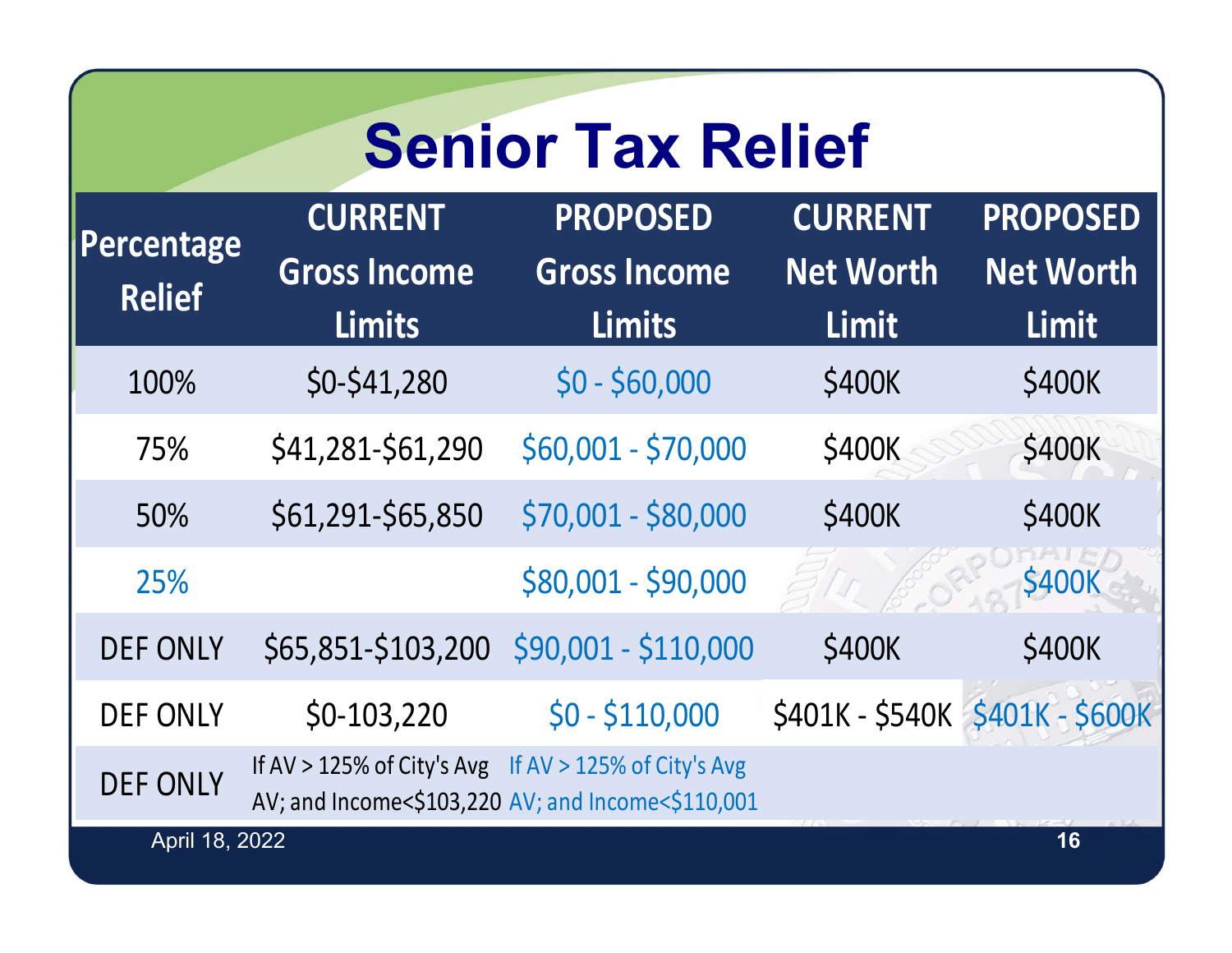### **Senior Tax Relief**

| Percentage<br><b>Relief</b> | <b>CURRENT</b><br><b>Gross Income</b><br><b>Limits</b> | <b>PROPOSED</b><br><b>Gross Income</b><br><b>Limits</b> | <b>CURRENT</b><br><b>Net Worth</b><br>Limit | <b>PROPOSED</b><br><b>Net Worth</b><br>Limit |
|-----------------------------|--------------------------------------------------------|---------------------------------------------------------|---------------------------------------------|----------------------------------------------|
| 100%                        | $$0-$41,280$                                           | $$0 - $60,000$                                          | \$400K                                      | \$400K                                       |
| 75%                         | \$41,281-\$61,290                                      | \$60,001 - \$70,000                                     | \$400K                                      | \$400K                                       |
| 50%                         | \$61,291-\$65,850                                      | \$70,001 - \$80,000                                     | \$400K                                      | \$400K                                       |
| 25%                         |                                                        | \$80,001 - \$90,000                                     |                                             | <b>\$400K</b>                                |
| <b>DEF ONLY</b>             | \$65,851-\$103,200                                     | \$90,001 - \$110,000                                    | \$400K                                      | \$400K                                       |
| <b>DEF ONLY</b>             | $$0-103,220$                                           | $$0 - $110,000$                                         |                                             | \$401K - \$540K \$401K - \$600K              |
| <b>DEF ONLY</b>             | If AV > 125% of City's Avg If AV > 125% of City's Avg  | AV; and Income<\$103,220 AV; and Income<\$110,001       |                                             |                                              |
| April 18, 2022              |                                                        |                                                         |                                             | 16                                           |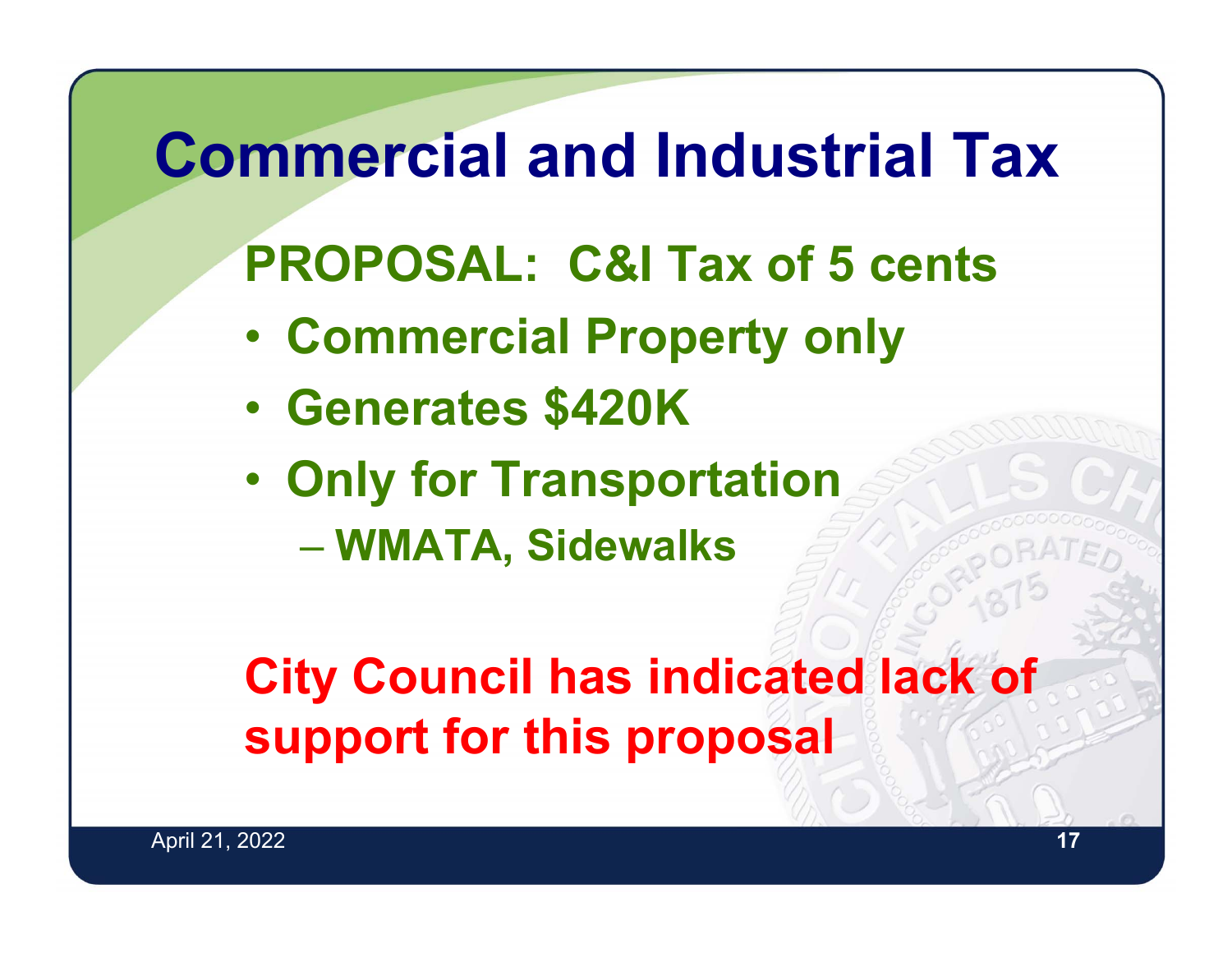#### **Commercial and Industrial TaxPROPOSAL: C&I Tax of 5 cents** • **Commercial Property only** • **Generates \$420K** •**• Only for Transportation WMATA, Sidewalks City Council has indicated lack of support for this proposal**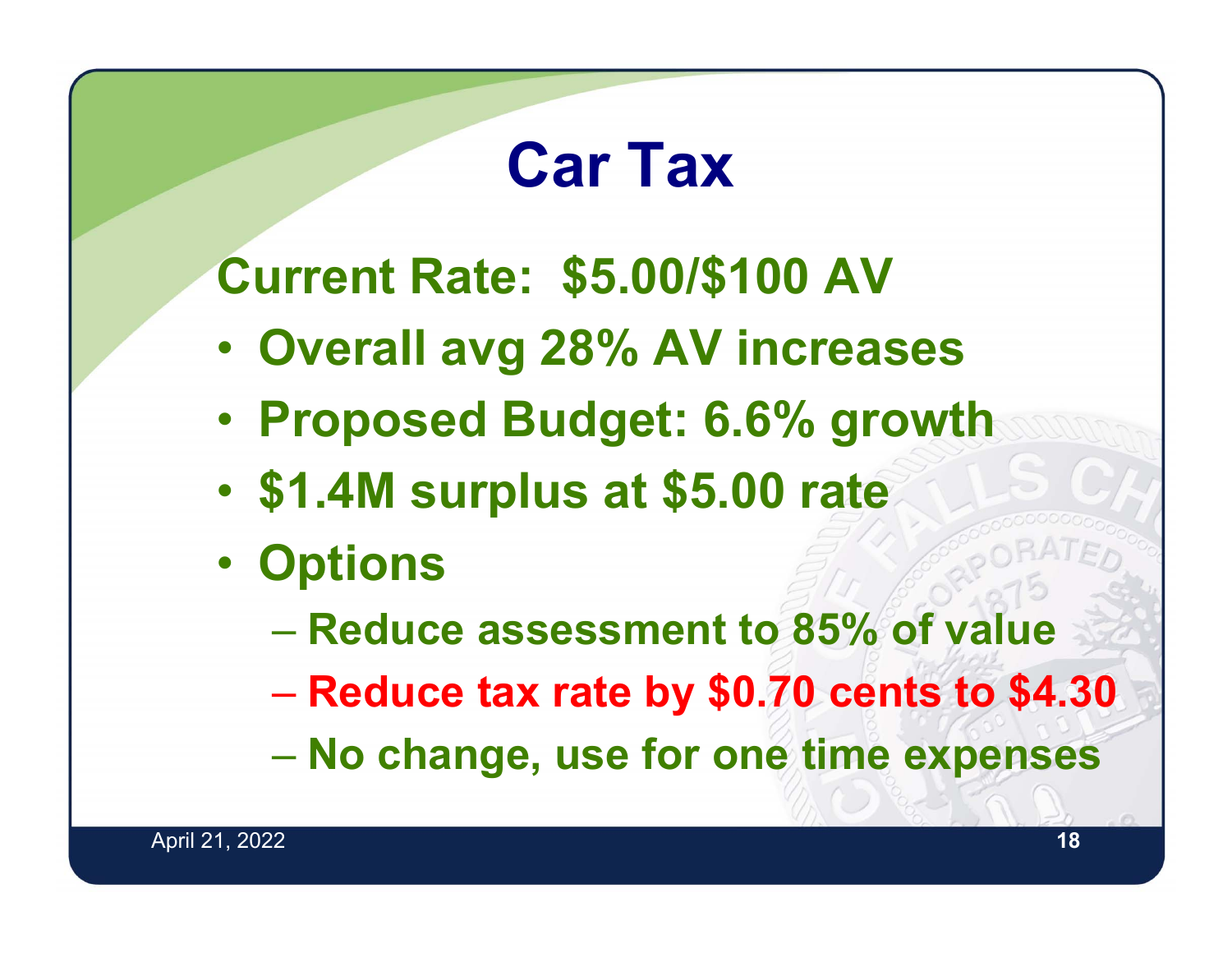### **Car Tax**

**Current Rate: \$5.00/\$100 AV**

- •**Overall avg 28% AV increases**
- •**Proposed Budget: 6.6% growth**
- •**\$1.4M surplus at \$5.00 rate**
- $\bullet$  **Options**
	- **Reduce assessment to 85% of value**
	- **Reduce tax rate by \$0.70 cents to \$4.30**
	- –**No change, use for one time expenses**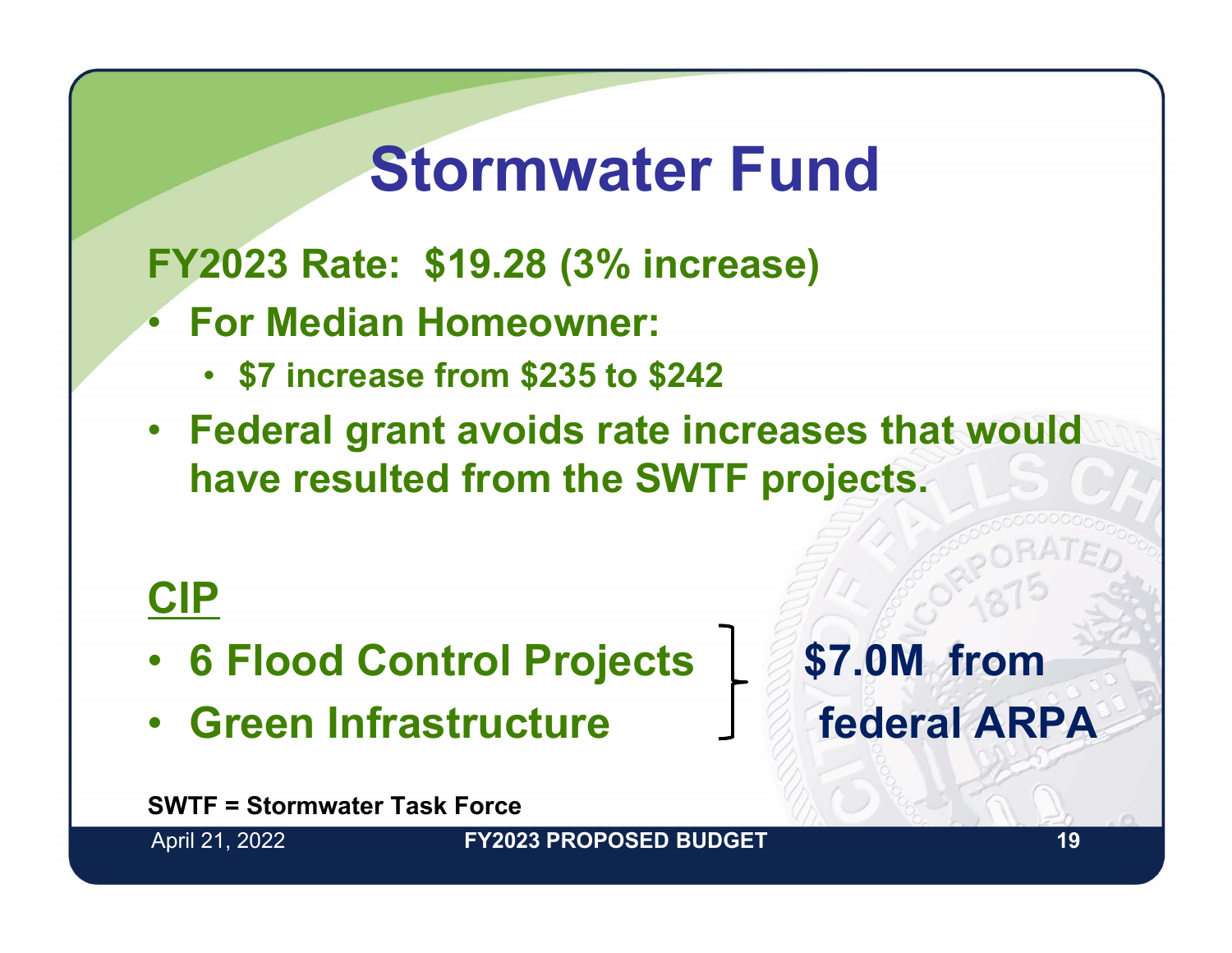### **Stormwater Fund**

**FY2023 Rate: \$19.28 (3% increase)**

- **For Median Homeowner:**
	- **\$7 increase from \$235 to \$242**
- **Federal grant avoids rate increases that would have resulted from the SWTF projects.**

#### **CIP**

- •**6 Flood Control Projects \$7.0M from**
- Green Infrastructure **Franch ARPA**

**SWTF = Stormwater Task Force**

April 21, 2022 **19 FY2023 PROPOSED BUDGET**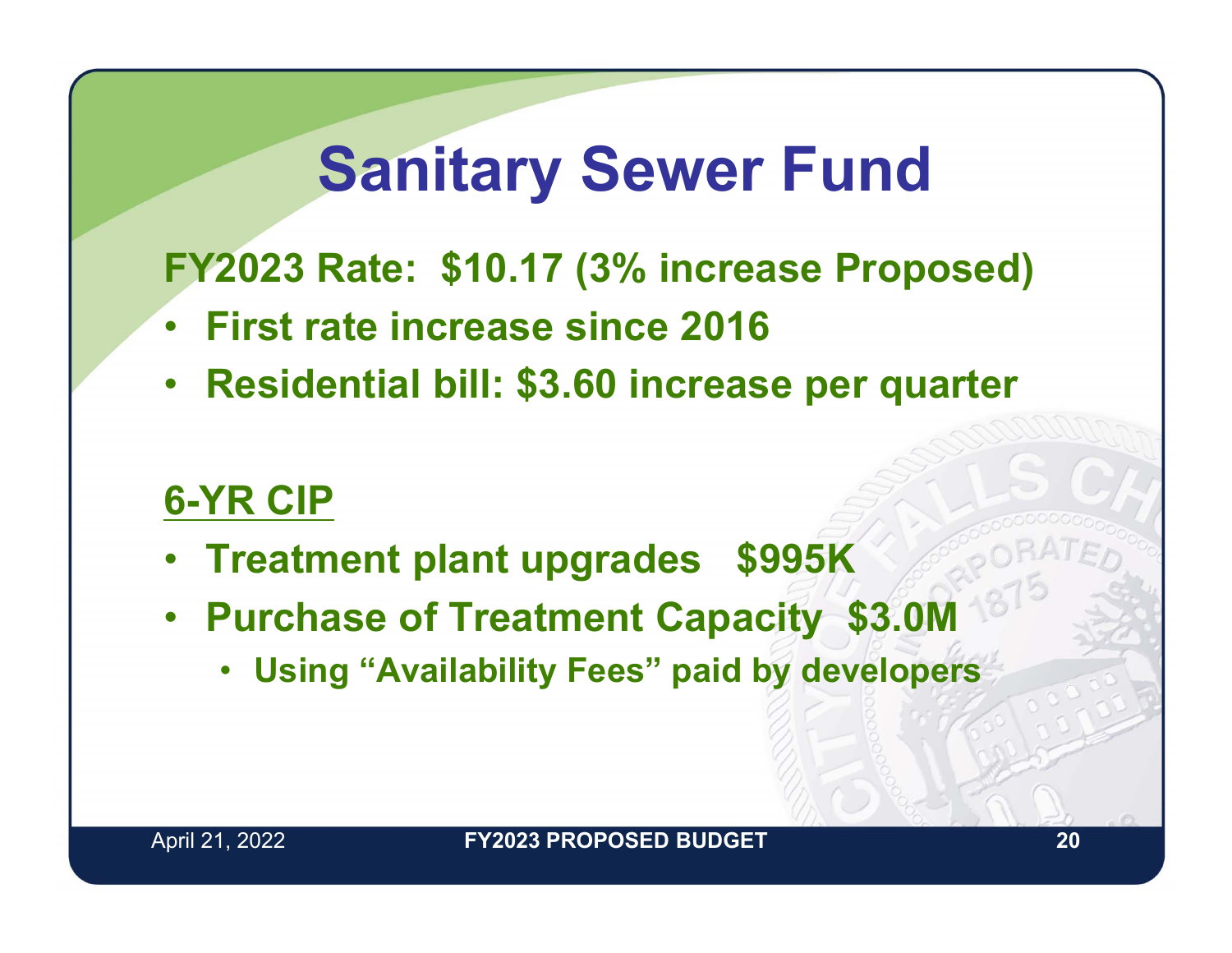### **Sanitary Sewer Fund**

**FY2023 Rate: \$10.17 (3% increase Proposed)**

- •**First rate increase since 2016**
- **Residential bill: \$3.60 increase per quarter**

#### **6-YR CIP**

- **Treatment plant upgrades \$995K**
- **Purchase of Treatment Capacity \$3.0M**
	- **Using "Availability Fees" paid by developers**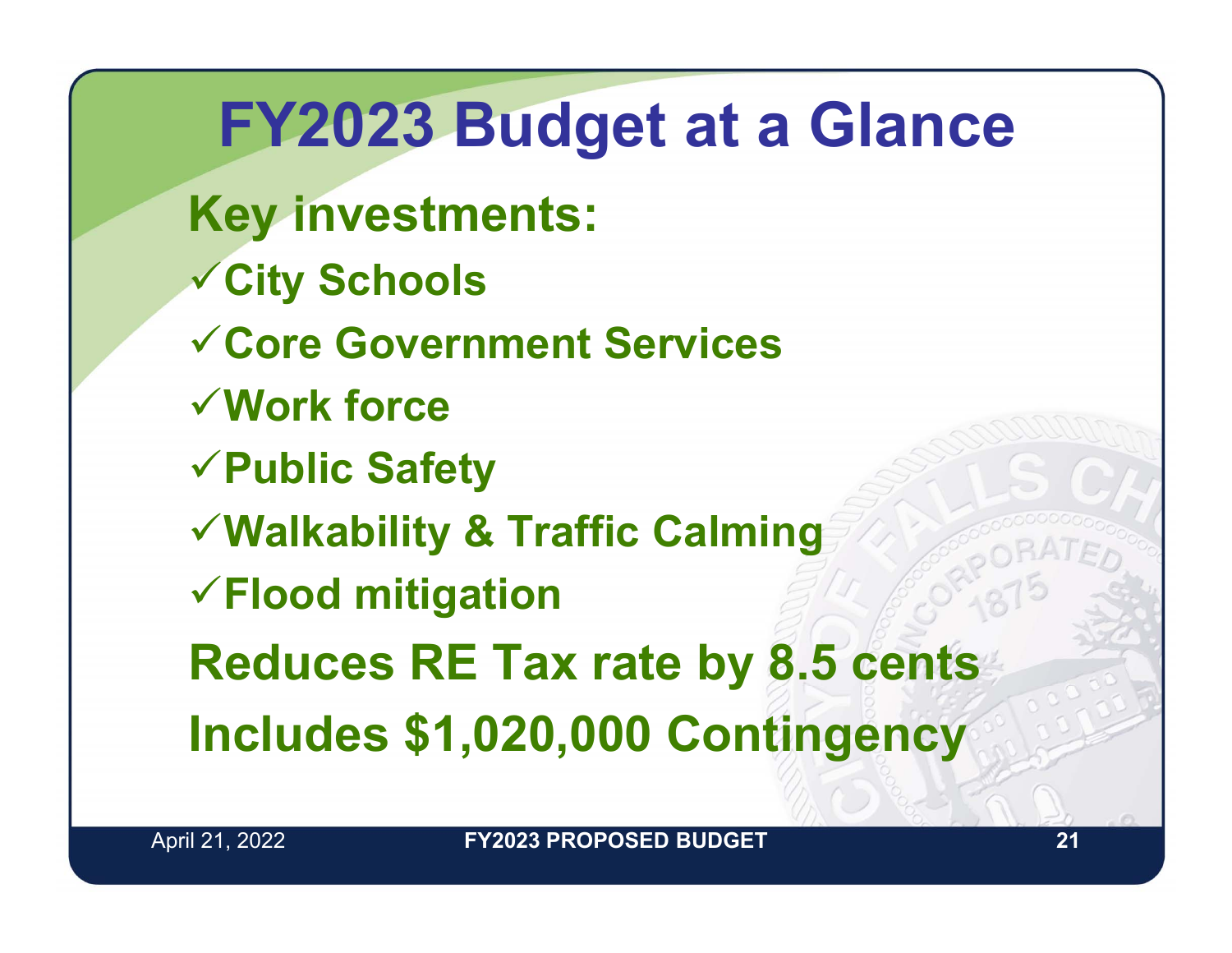**FY2023 Budget at a Glance Key investments: City Schools Core Government ServicesWork forcePublic Safety Walkability & Traffic Calming Flood mitigation Reduces RE Tax rate by 8.5 cents Includes \$1,020,000 Contingency**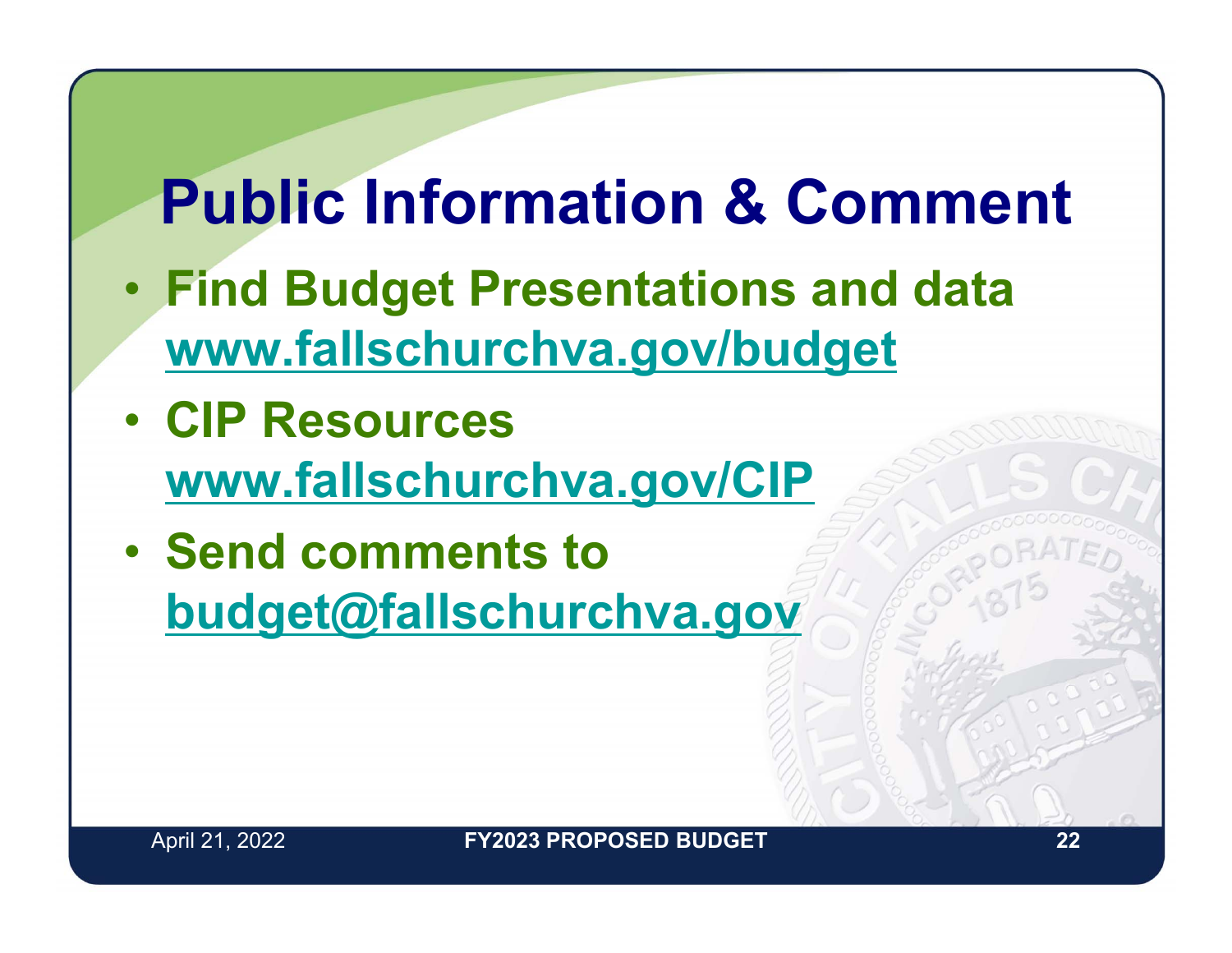### **Public Information & Comment**

- **Find Budget Presentations and data www.fallschurchva.gov/budget**
- **CIP Resources www.fallschurchva.gov/CIP**
- **Send comments to budget@fallschurchva.gov**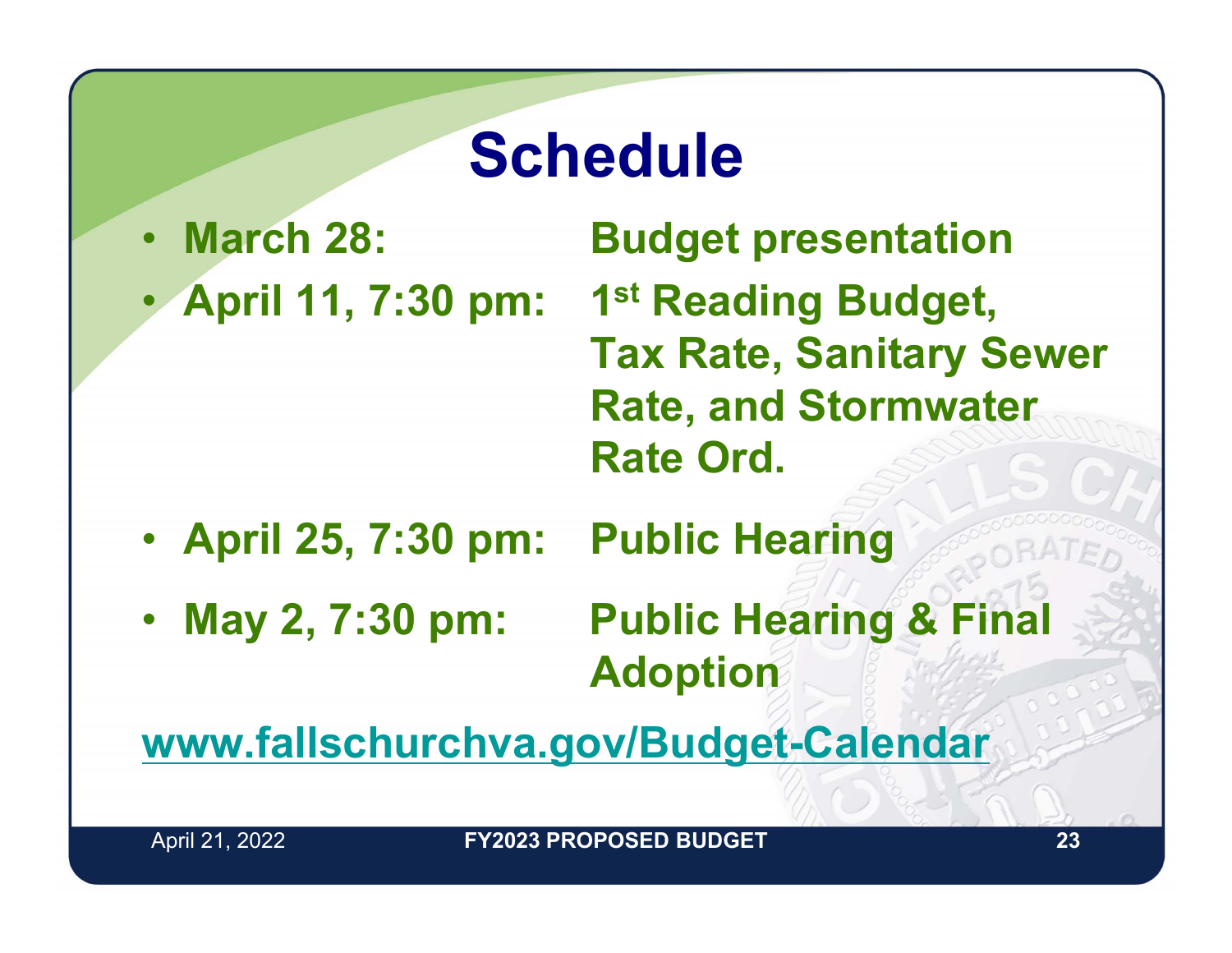### **Schedule**

- March 28:
	- •

**Budget presentation April 11, 7:30 pm: 1st Reading Budget, Tax Rate, Sanitary Sewer Rate, and Stormwater Rate Ord.**

- **April 25, 7:30 pm: Public Hearing**
- May 2, 7:30 pm: **Public Hearing & Final Adoption**

**www.fallschurchva.gov/Budget-Calendar**

April 21, 2022 **23 FY2023 PROPOSED BUDGET**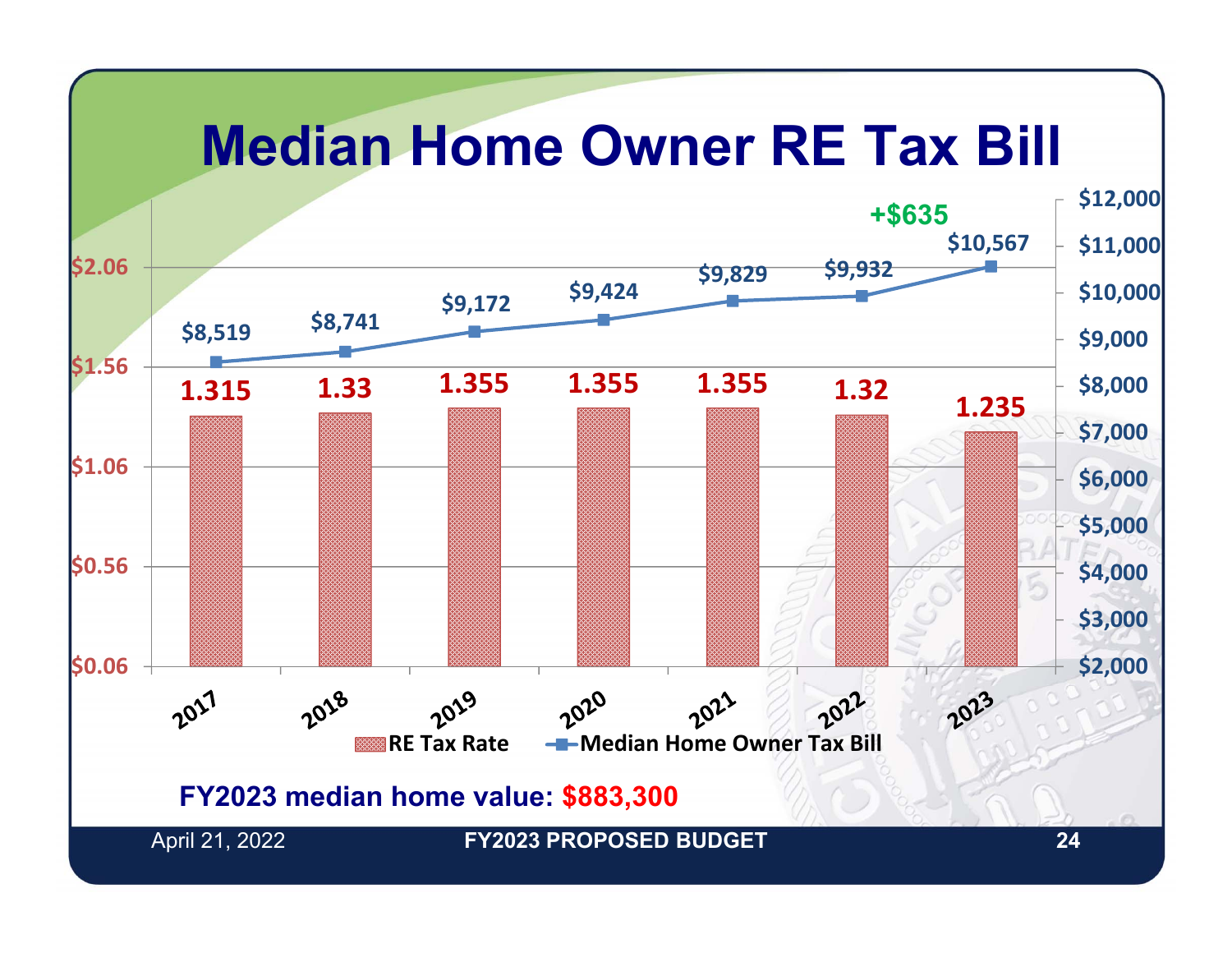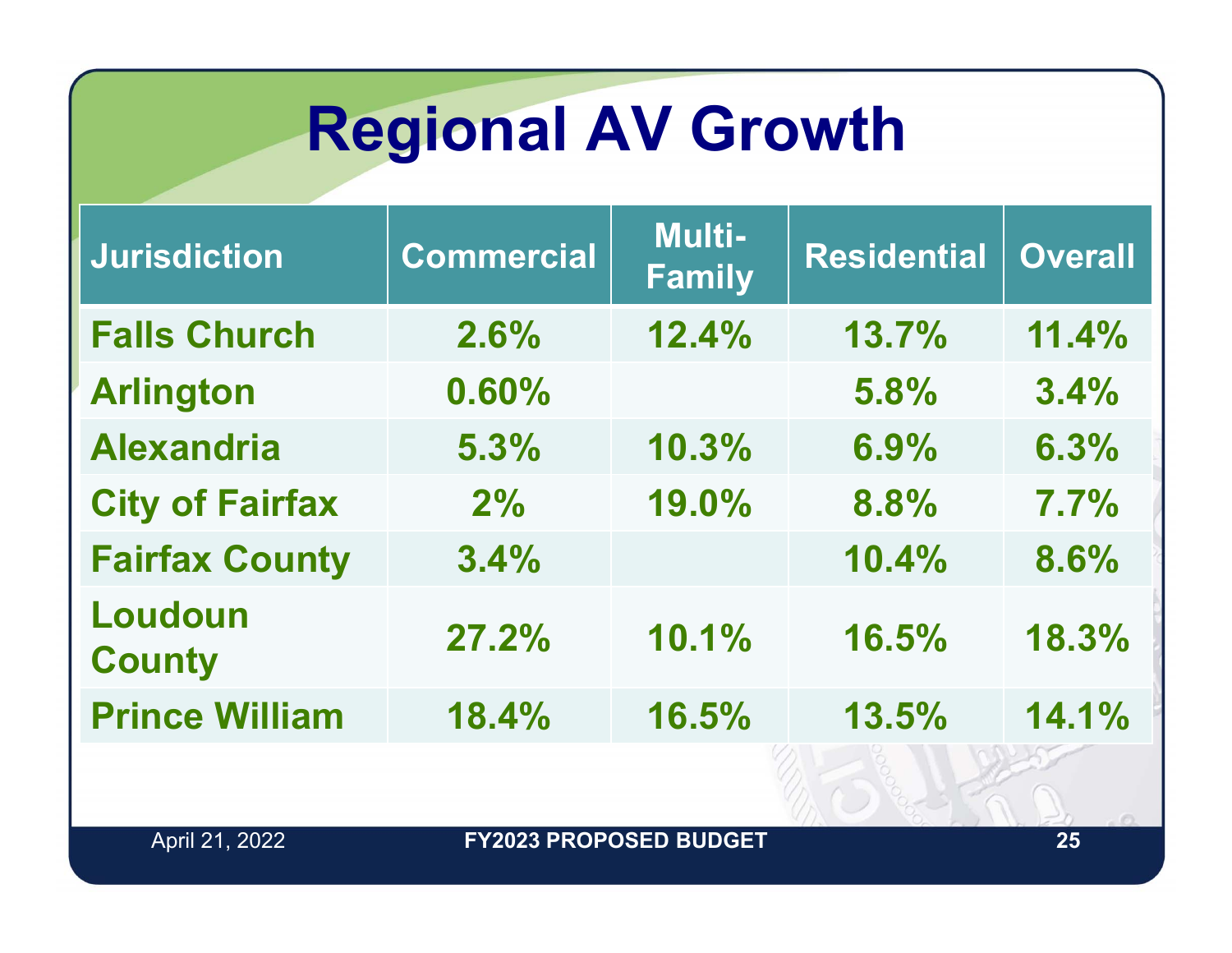## **Regional AV Growth**

| <b>Jurisdiction</b>      | <b>Commercial</b> | <b>Multi-</b><br><b>Family</b> | <b>Residential</b> | <b>Overall</b> |
|--------------------------|-------------------|--------------------------------|--------------------|----------------|
| <b>Falls Church</b>      | 2.6%              | 12.4%                          | 13.7%              | 11.4%          |
| <b>Arlington</b>         | 0.60%             |                                | 5.8%               | 3.4%           |
| <b>Alexandria</b>        | 5.3%              | 10.3%                          | 6.9%               | 6.3%           |
| <b>City of Fairfax</b>   | 2%                | 19.0%                          | 8.8%               | 7.7%           |
| <b>Fairfax County</b>    | 3.4%              |                                | 10.4%              | 8.6%           |
| Loudoun<br><b>County</b> | 27.2%             | 10.1%                          | 16.5%              | 18.3%          |
| <b>Prince William</b>    | 18.4%             | 16.5%                          | 13.5%              | 14.1%          |
|                          |                   |                                |                    |                |

April 21, 2022 **25 FY2023 PROPOSED BUDGET**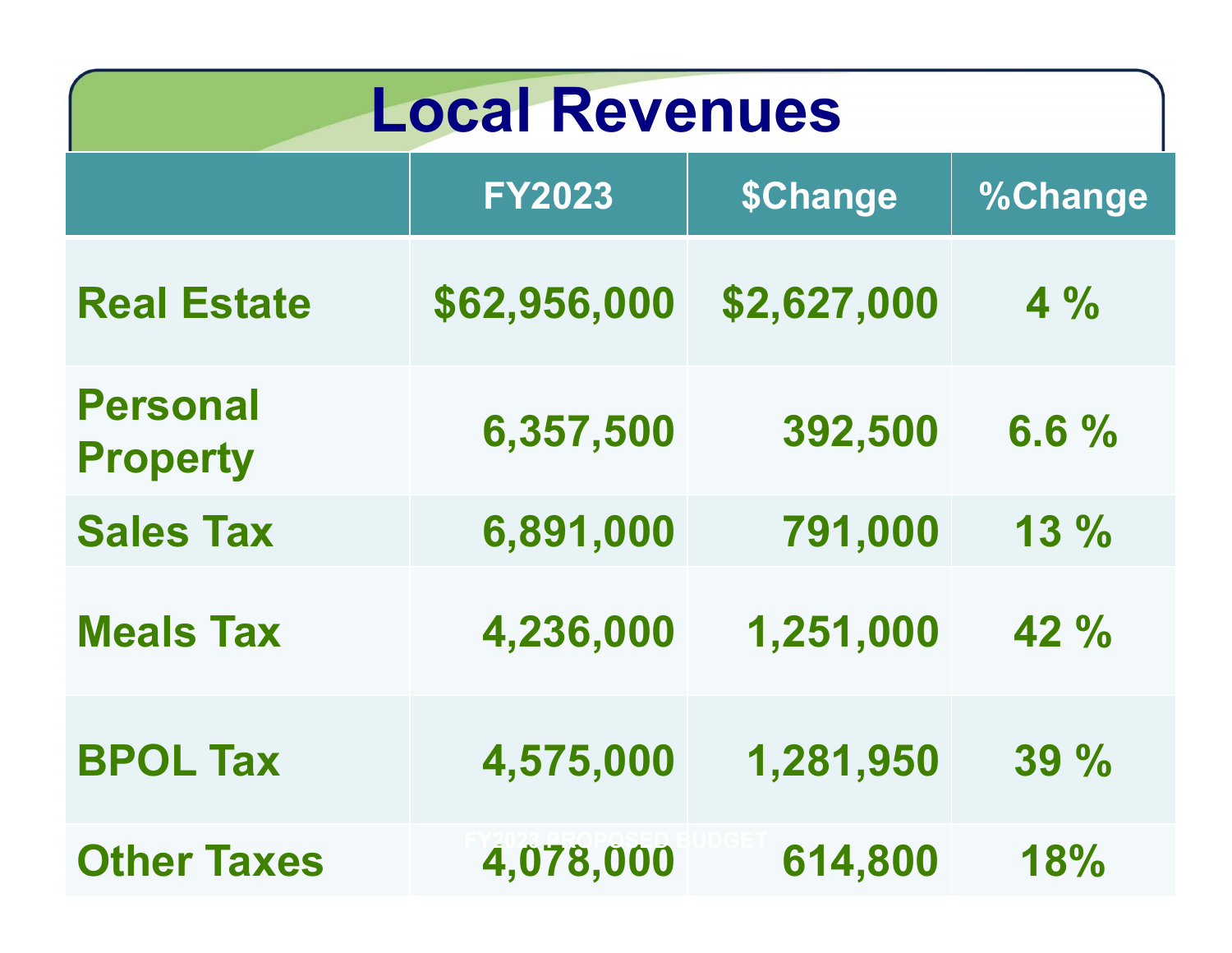| <b>Local Revenues</b>              |               |             |                |  |
|------------------------------------|---------------|-------------|----------------|--|
|                                    | <b>FY2023</b> | \$Change    | <b>%Change</b> |  |
| <b>Real Estate</b>                 | \$62,956,000  | \$2,627,000 | $4\%$          |  |
| <b>Personal</b><br><b>Property</b> | 6,357,500     | 392,500     | 6.6%           |  |
| <b>Sales Tax</b>                   | 6,891,000     | 791,000     | 13%            |  |
| <b>Meals Tax</b>                   | 4,236,000     | 1,251,000   | 42 %           |  |
| <b>BPOL Tax</b>                    | 4,575,000     | 1,281,950   | $39\%$         |  |
| <b>Other Taxes</b>                 | 4,078,000     | 614,800     | 18%            |  |